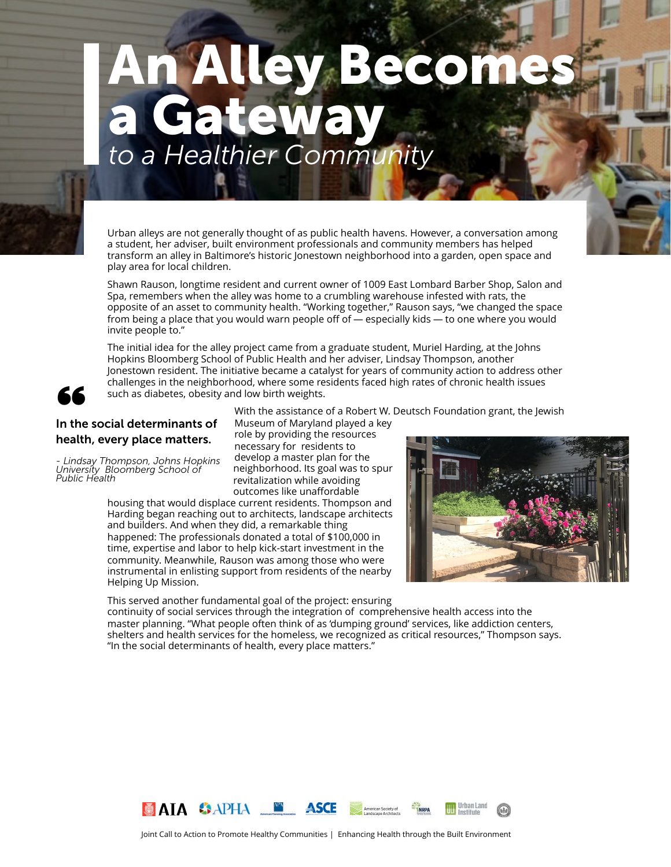# *to a Healthier Community* An Alley Becomes a Gateway

Urban alleys are not generally thought of as public health havens. However, a conversation among a student, her adviser, built environment professionals and community members has helped transform an alley in Baltimore's historic Jonestown neighborhood into a garden, open space and play area for local children.

Shawn Rauson, longtime resident and current owner of 1009 East Lombard Barber Shop, Salon and Spa, remembers when the alley was home to a crumbling warehouse infested with rats, the opposite of an asset to community health. "Working together," Rauson says, "we changed the space from being a place that you would warn people off of — especially kids — to one where you would invite people to."

The initial idea for the alley project came from a graduate student, Muriel Harding, at the Johns Hopkins Bloomberg School of Public Health and her adviser, Lindsay Thompson, another Jonestown resident. The initiative became a catalyst for years of community action to address other challenges in the neighborhood, where some residents faced high rates of chronic health issues such as diabetes, obesity and low birth weights.





Social determinants of health, every place matters.

*- Lindsay Thompson, Johns Hopkins University Bloomberg School of Public Health* 

With the assistance of a Robert W. Deutsch Foundation grant, the Jewish

Museum of Maryland played a key role by providing the resources necessary for residents to develop a master plan for the neighborhood. Its goal was to spur revitalization while avoiding outcomes like unaffordable

housing that would displace current residents. Thompson and Harding began reaching out to architects, landscape architects and builders. And when they did, a remarkable thing happened: The professionals donated a total of \$100,000 in time, expertise and labor to help kick-start investment in the community. Meanwhile, Rauson was among those who were instrumental in enlisting support from residents of the nearby Helping Up Mission.



This served another fundamental goal of the project: ensuring continuity of social services through the integration of comprehensive health access into the master planning. "What people often think of as 'dumping ground' services, like addiction centers, shelters and health services for the homeless, we recognized as critical resources," Thompson says. "In the social determinants of health, every place matters."